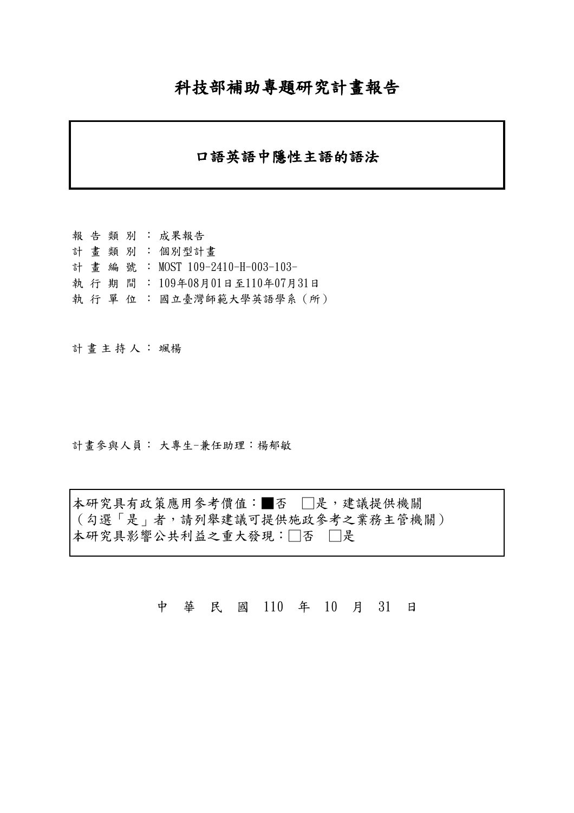## 科技部補助專題研究計畫報告

## 口語英語中隱性主語的語法

報告類別: 成果報告 計畫類別: 個別型計畫 計畫編號: MOST 109-2410-H-003-103- 執行期間: 109年08月01日至110年07月31日 執 行 單 位 : 國立臺灣師範大學英語學系(所)

計畫主持人: 颯楊

計畫參與人員: 大專生-兼任助理:楊郁敏

本研究具有政策應用參考價值:■否 □是,建議提供機關 (勾選「是」者,請列舉建議可提供施政參考之業務主管機關) 本研究具影響公共利益之重大發現:□否 □是

中 華 民 國 110 年 10 月 31 日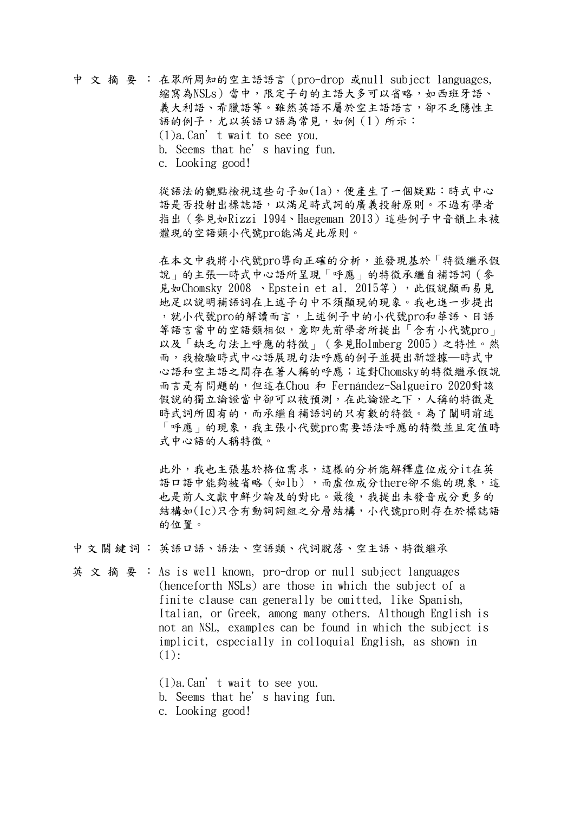中文摘要: 在眾所周知的空主語語言(pro-drop 或null subject languages, 縮寫為NSLs)當中,限定子句的主語大多可以省略,如西班牙語、 義大利語、希臘語等。雖然英語不屬於空主語語言,卻不乏隱性主 語的例子,尤以英語口語為常見,如例(1)所示: (1)a.Can't wait to see you. b. Seems that he's having fun. c. Looking good!

> 從語法的觀點檢視這些句子如(1a),便產生了一個疑點:時式中心 語是否投射出標誌語,以滿足時式詞的廣義投射原則。不過有學者 指出(參見如Rizzi 1994、Haegeman 2013)這些例子中音韻上未被 體現的空語類小代號pro能滿足此原則。

> 在本文中我將小代號pro導向正確的分析,並發現基於「特徵繼承假 說」的主張―時式中心語所呈現「呼應」的特徵承繼自補語詞(參 見如Chomsky 2008 、Epstein et al. 2015等),此假說顯而易見 地足以說明補語詞在上述子句中不須顯現的現象。我也進一步提出 ,就小代號pro的解讀而言,上述例子中的小代號pro和華語、日語 等語言當中的空語類相似,意即先前學者所提出「含有小代號pro」 以及「缺乏句法上呼應的特徵」(參見Holmberg 2005)之特性。然 而,我檢驗時式中心語展現句法呼應的例子並提出新證據―時式中 心語和空主語之間存在著人稱的呼應;這對Chomsky的特徵繼承假說 而言是有問題的,但這在Chou 和 Fernández-Salgueiro 2020對該 假說的獨立論證當中卻可以被預測,在此論證之下,人稱的特徵是 時式詞所固有的,而承繼自補語詞的只有數的特徵。為了闡明前述 「呼應」的現象,我主張小代號pro需要語法呼應的特徵並且定值時 式中心語的人稱特徵。

> 此外,我也主張基於格位需求,這樣的分析能解釋虛位成分it在英 語口語中能夠被省略(如1b),而虛位成分there卻不能的現象,這 也是前人文獻中鮮少論及的對比。最後,我提出未發音成分更多的 結構如(1c)只含有動詞詞組之分層結構,小代號pro則存在於標誌語 的位置。

中文關鍵詞: 英語口語、語法、空語類、代詞脫落、空主語、特徵繼承

英文摘要:As is well known, pro-drop or null subject languages (henceforth NSLs) are those in which the subject of a finite clause can generally be omitted, like Spanish, Italian, or Greek, among many others. Although English is not an NSL, examples can be found in which the subject is implicit, especially in colloquial English, as shown in  $(1):$ 

> (1)a.Can't wait to see you. b. Seems that he's having fun. c. Looking good!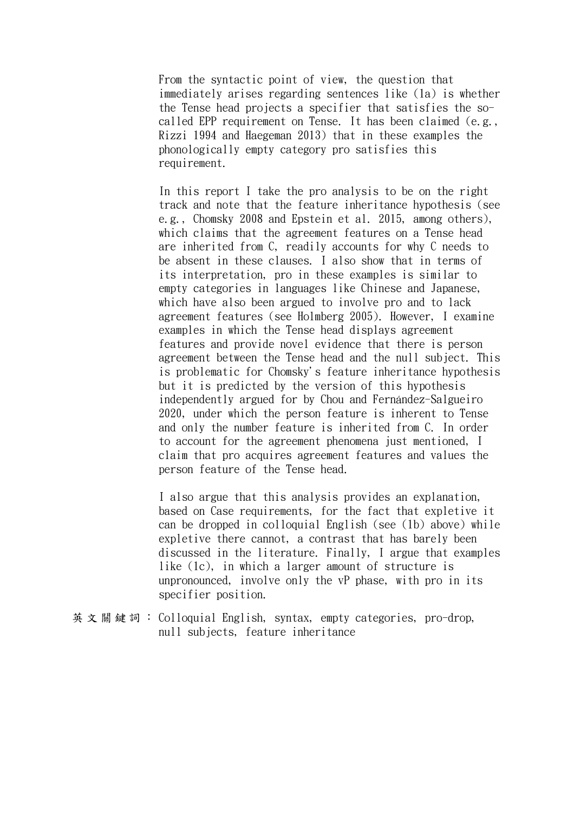From the syntactic point of view, the question that immediately arises regarding sentences like (1a) is whether the Tense head projects a specifier that satisfies the socalled EPP requirement on Tense. It has been claimed (e.g., Rizzi 1994 and Haegeman 2013) that in these examples the phonologically empty category pro satisfies this requirement.

In this report I take the pro analysis to be on the right track and note that the feature inheritance hypothesis (see e.g., Chomsky 2008 and Epstein et al. 2015, among others), which claims that the agreement features on a Tense head are inherited from C, readily accounts for why C needs to be absent in these clauses. I also show that in terms of its interpretation, pro in these examples is similar to empty categories in languages like Chinese and Japanese, which have also been argued to involve pro and to lack agreement features (see Holmberg 2005). However, I examine examples in which the Tense head displays agreement features and provide novel evidence that there is person agreement between the Tense head and the null subject. This is problematic for Chomsky's feature inheritance hypothesis but it is predicted by the version of this hypothesis independently argued for by Chou and Fernández-Salgueiro 2020, under which the person feature is inherent to Tense and only the number feature is inherited from C. In order to account for the agreement phenomena just mentioned, I claim that pro acquires agreement features and values the person feature of the Tense head.

I also argue that this analysis provides an explanation, based on Case requirements, for the fact that expletive it can be dropped in colloquial English (see (1b) above) while expletive there cannot, a contrast that has barely been discussed in the literature. Finally, I argue that examples like (1c), in which a larger amount of structure is unpronounced, involve only the vP phase, with pro in its specifier position.

英文關鍵詞: Colloquial English, syntax, empty categories, pro-drop, null subjects, feature inheritance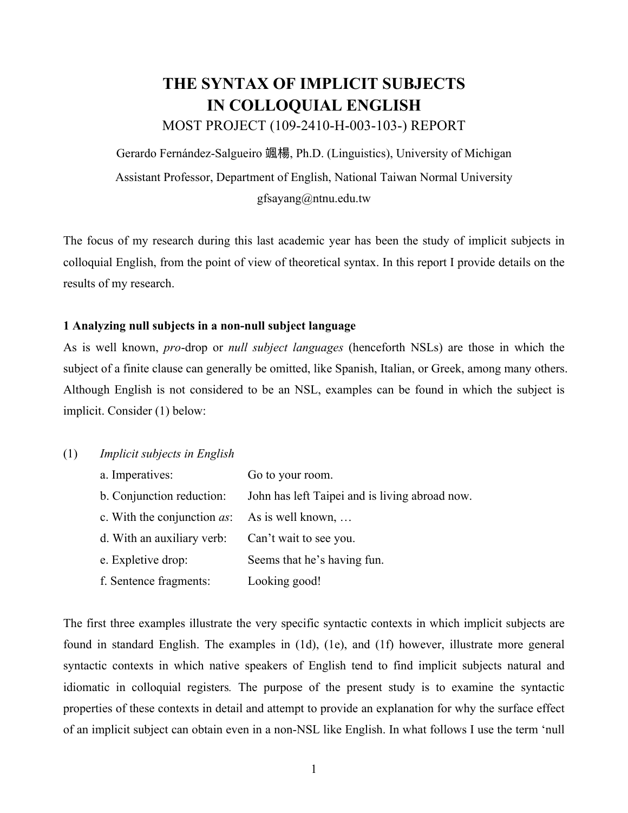# **THE SYNTAX OF IMPLICIT SUBJECTS IN COLLOQUIAL ENGLISH**

MOST PROJECT (109-2410-H-003-103-) REPORT

Gerardo Fernández-Salgueiro 颯楊, Ph.D. (Linguistics), University of Michigan Assistant Professor, Department of English, National Taiwan Normal University gfsayang@ntnu.edu.tw

The focus of my research during this last academic year has been the study of implicit subjects in colloquial English, from the point of view of theoretical syntax. In this report I provide details on the results of my research.

## **1 Analyzing null subjects in a non-null subject language**

As is well known, *pro*-drop or *null subject languages* (henceforth NSLs) are those in which the subject of a finite clause can generally be omitted, like Spanish, Italian, or Greek, among many others. Although English is not considered to be an NSL, examples can be found in which the subject is implicit. Consider (1) below:

## (1) *Implicit subjects in English*

| a. Imperatives:                                 | Go to your room.                               |
|-------------------------------------------------|------------------------------------------------|
| b. Conjunction reduction:                       | John has left Taipei and is living abroad now. |
| c. With the conjunction $as: As$ is well known, |                                                |
| d. With an auxiliary verb:                      | Can't wait to see you.                         |
| e. Expletive drop:                              | Seems that he's having fun.                    |
| f. Sentence fragments:                          | Looking good!                                  |

The first three examples illustrate the very specific syntactic contexts in which implicit subjects are found in standard English. The examples in (1d), (1e), and (1f) however, illustrate more general syntactic contexts in which native speakers of English tend to find implicit subjects natural and idiomatic in colloquial registers*.* The purpose of the present study is to examine the syntactic properties of these contexts in detail and attempt to provide an explanation for why the surface effect of an implicit subject can obtain even in a non-NSL like English. In what follows I use the term 'null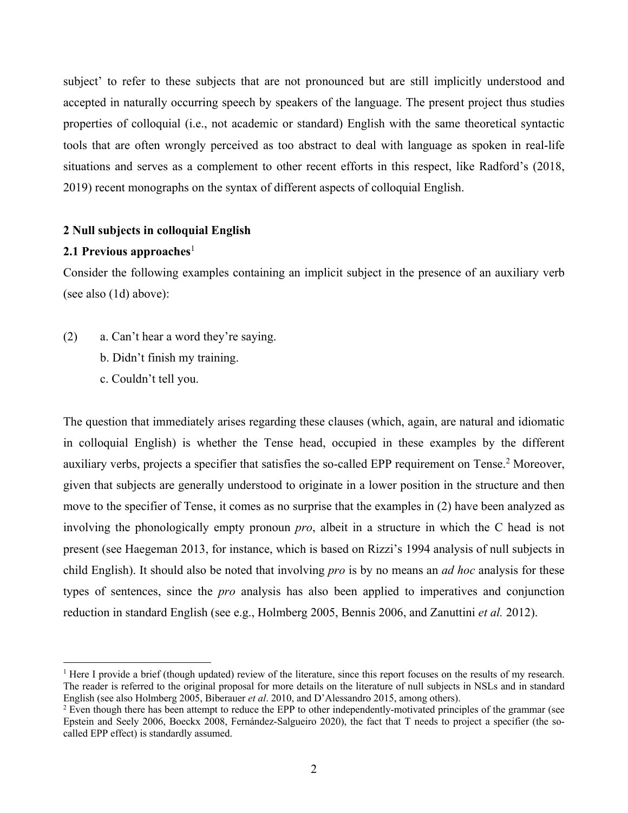subject' to refer to these subjects that are not pronounced but are still implicitly understood and accepted in naturally occurring speech by speakers of the language. The present project thus studies properties of colloquial (i.e., not academic or standard) English with the same theoretical syntactic tools that are often wrongly perceived as too abstract to deal with language as spoken in real-life situations and serves as a complement to other recent efforts in this respect, like Radford's (2018, 2019) recent monographs on the syntax of different aspects of colloquial English.

## **2 Null subjects in colloquial English**

## **2.1 Previous approaches**<sup>1</sup>

Consider the following examples containing an implicit subject in the presence of an auxiliary verb (see also (1d) above):

- (2) a. Can't hear a word they're saying.
	- b. Didn't finish my training.
	- c. Couldn't tell you.

The question that immediately arises regarding these clauses (which, again, are natural and idiomatic in colloquial English) is whether the Tense head, occupied in these examples by the different auxiliary verbs, projects a specifier that satisfies the so-called EPP requirement on Tense.<sup>2</sup> Moreover, given that subjects are generally understood to originate in a lower position in the structure and then move to the specifier of Tense, it comes as no surprise that the examples in (2) have been analyzed as involving the phonologically empty pronoun *pro*, albeit in a structure in which the C head is not present (see Haegeman 2013, for instance, which is based on Rizzi's 1994 analysis of null subjects in child English). It should also be noted that involving *pro* is by no means an *ad hoc* analysis for these types of sentences, since the *pro* analysis has also been applied to imperatives and conjunction reduction in standard English (see e.g., Holmberg 2005, Bennis 2006, and Zanuttini *et al.* 2012).

<sup>&</sup>lt;sup>1</sup> Here I provide a brief (though updated) review of the literature, since this report focuses on the results of my research. The reader is referred to the original proposal for more details on the literature of null subjects in NSLs and in standard English (see also Holmberg 2005, Biberauer *et al*. 2010, and D'Alessandro 2015, among others).

<sup>&</sup>lt;sup>2</sup> Even though there has been attempt to reduce the EPP to other independently-motivated principles of the grammar (see Epstein and Seely 2006, Boeckx 2008, Fernández-Salgueiro 2020), the fact that T needs to project a specifier (the socalled EPP effect) is standardly assumed.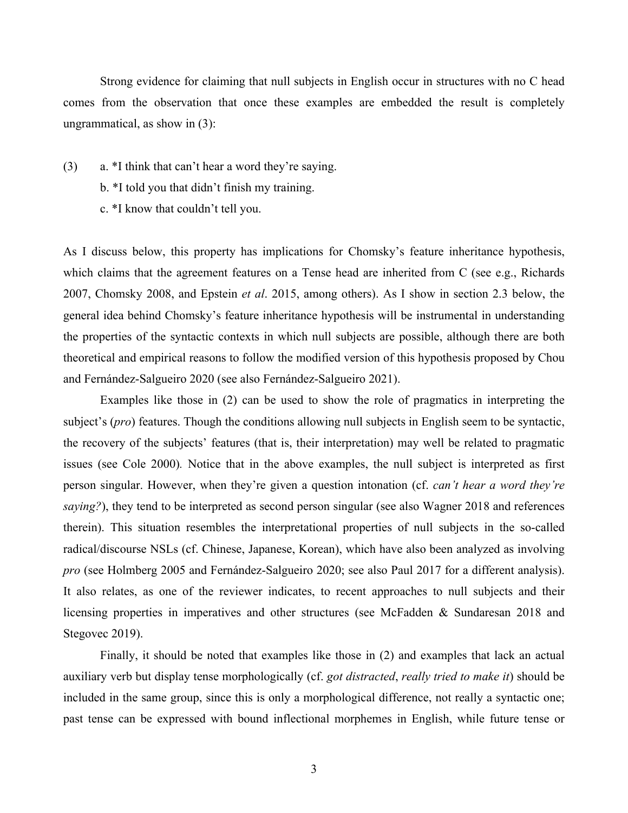Strong evidence for claiming that null subjects in English occur in structures with no C head comes from the observation that once these examples are embedded the result is completely ungrammatical, as show in (3):

- (3) a. \*I think that can't hear a word they're saying.
	- b. \*I told you that didn't finish my training.
	- c. \*I know that couldn't tell you.

As I discuss below, this property has implications for Chomsky's feature inheritance hypothesis, which claims that the agreement features on a Tense head are inherited from C (see e.g., Richards 2007, Chomsky 2008, and Epstein *et al*. 2015, among others). As I show in section 2.3 below, the general idea behind Chomsky's feature inheritance hypothesis will be instrumental in understanding the properties of the syntactic contexts in which null subjects are possible, although there are both theoretical and empirical reasons to follow the modified version of this hypothesis proposed by Chou and Fernández-Salgueiro 2020 (see also Fernández-Salgueiro 2021).

Examples like those in (2) can be used to show the role of pragmatics in interpreting the subject's (*pro*) features. Though the conditions allowing null subjects in English seem to be syntactic, the recovery of the subjects' features (that is, their interpretation) may well be related to pragmatic issues (see Cole 2000)*.* Notice that in the above examples, the null subject is interpreted as first person singular. However, when they're given a question intonation (cf. *can't hear a word they're saying?*), they tend to be interpreted as second person singular (see also Wagner 2018 and references therein). This situation resembles the interpretational properties of null subjects in the so-called radical/discourse NSLs (cf. Chinese, Japanese, Korean), which have also been analyzed as involving *pro* (see Holmberg 2005 and Fernández-Salgueiro 2020; see also Paul 2017 for a different analysis). It also relates, as one of the reviewer indicates, to recent approaches to null subjects and their licensing properties in imperatives and other structures (see McFadden & Sundaresan 2018 and Stegovec 2019).

Finally, it should be noted that examples like those in (2) and examples that lack an actual auxiliary verb but display tense morphologically (cf. *got distracted*, *really tried to make it*) should be included in the same group, since this is only a morphological difference, not really a syntactic one; past tense can be expressed with bound inflectional morphemes in English, while future tense or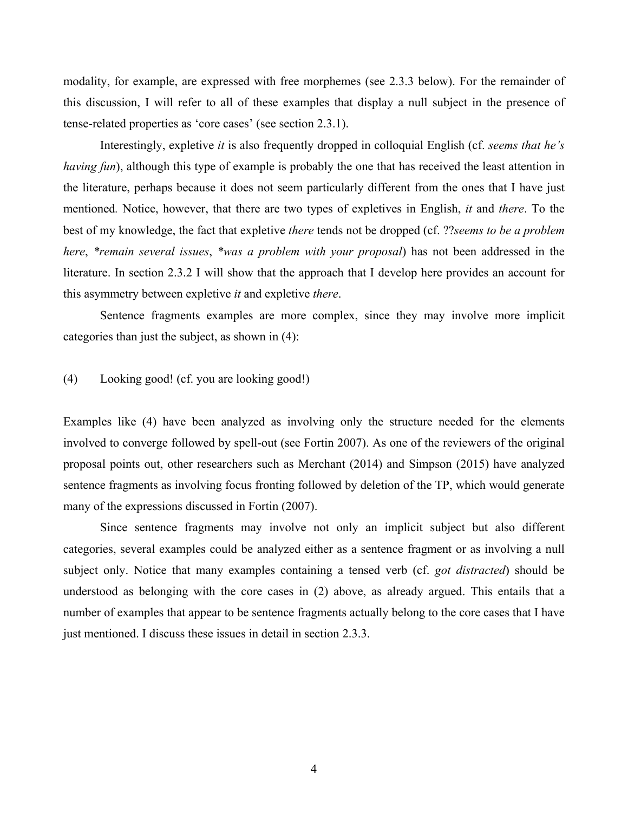modality, for example, are expressed with free morphemes (see 2.3.3 below). For the remainder of this discussion, I will refer to all of these examples that display a null subject in the presence of tense-related properties as 'core cases' (see section 2.3.1).

Interestingly, expletive *it* is also frequently dropped in colloquial English (cf. *seems that he's having fun*), although this type of example is probably the one that has received the least attention in the literature, perhaps because it does not seem particularly different from the ones that I have just mentioned*.* Notice, however, that there are two types of expletives in English, *it* and *there*. To the best of my knowledge, the fact that expletive *there* tends not be dropped (cf. ??*seems to be a problem here*, *\*remain several issues*, *\*was a problem with your proposal*) has not been addressed in the literature. In section 2.3.2 I will show that the approach that I develop here provides an account for this asymmetry between expletive *it* and expletive *there*.

Sentence fragments examples are more complex, since they may involve more implicit categories than just the subject, as shown in (4):

## (4) Looking good! (cf. you are looking good!)

Examples like (4) have been analyzed as involving only the structure needed for the elements involved to converge followed by spell-out (see Fortin 2007). As one of the reviewers of the original proposal points out, other researchers such as Merchant (2014) and Simpson (2015) have analyzed sentence fragments as involving focus fronting followed by deletion of the TP, which would generate many of the expressions discussed in Fortin (2007).

Since sentence fragments may involve not only an implicit subject but also different categories, several examples could be analyzed either as a sentence fragment or as involving a null subject only. Notice that many examples containing a tensed verb (cf. *got distracted*) should be understood as belonging with the core cases in (2) above, as already argued. This entails that a number of examples that appear to be sentence fragments actually belong to the core cases that I have just mentioned. I discuss these issues in detail in section 2.3.3.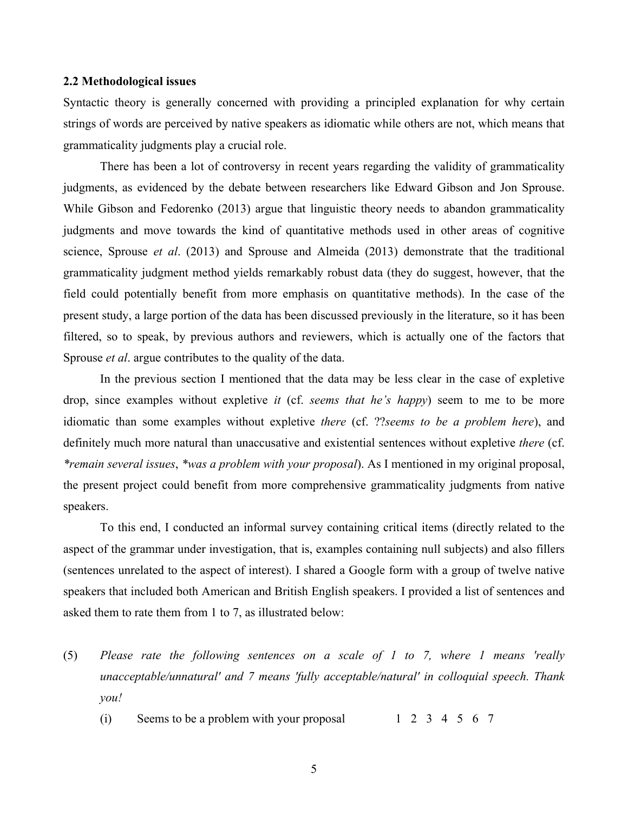#### **2.2 Methodological issues**

Syntactic theory is generally concerned with providing a principled explanation for why certain strings of words are perceived by native speakers as idiomatic while others are not, which means that grammaticality judgments play a crucial role.

There has been a lot of controversy in recent years regarding the validity of grammaticality judgments, as evidenced by the debate between researchers like Edward Gibson and Jon Sprouse. While Gibson and Fedorenko (2013) argue that linguistic theory needs to abandon grammaticality judgments and move towards the kind of quantitative methods used in other areas of cognitive science, Sprouse *et al*. (2013) and Sprouse and Almeida (2013) demonstrate that the traditional grammaticality judgment method yields remarkably robust data (they do suggest, however, that the field could potentially benefit from more emphasis on quantitative methods). In the case of the present study, a large portion of the data has been discussed previously in the literature, so it has been filtered, so to speak, by previous authors and reviewers, which is actually one of the factors that Sprouse *et al*. argue contributes to the quality of the data.

In the previous section I mentioned that the data may be less clear in the case of expletive drop, since examples without expletive *it* (cf. *seems that he's happy*) seem to me to be more idiomatic than some examples without expletive *there* (cf. ??*seems to be a problem here*), and definitely much more natural than unaccusative and existential sentences without expletive *there* (cf. *\*remain several issues*, *\*was a problem with your proposal*). As I mentioned in my original proposal, the present project could benefit from more comprehensive grammaticality judgments from native speakers.

To this end, I conducted an informal survey containing critical items (directly related to the aspect of the grammar under investigation, that is, examples containing null subjects) and also fillers (sentences unrelated to the aspect of interest). I shared a Google form with a group of twelve native speakers that included both American and British English speakers. I provided a list of sentences and asked them to rate them from 1 to 7, as illustrated below:

- (5) *Please rate the following sentences on a scale of 1 to 7, where 1 means 'really unacceptable/unnatural' and 7 means 'fully acceptable/natural' in colloquial speech. Thank you!*
	- (i) Seems to be a problem with your proposal  $1 \t2 \t3 \t4 \t5 \t6 \t7$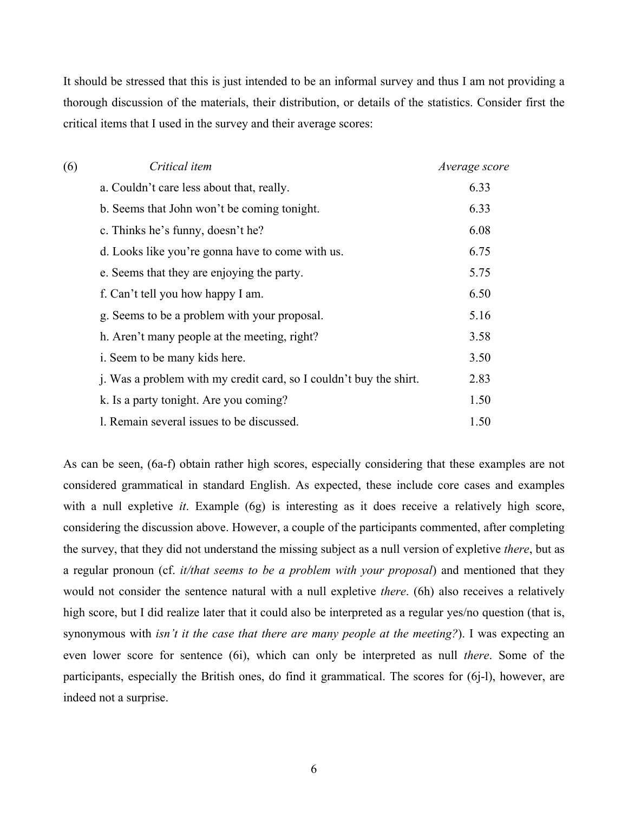It should be stressed that this is just intended to be an informal survey and thus I am not providing a thorough discussion of the materials, their distribution, or details of the statistics. Consider first the critical items that I used in the survey and their average scores:

| (6) | Critical item                                                      | Average score |
|-----|--------------------------------------------------------------------|---------------|
|     | a. Couldn't care less about that, really.                          | 6.33          |
|     | b. Seems that John won't be coming tonight.                        | 6.33          |
|     | c. Thinks he's funny, doesn't he?                                  | 6.08          |
|     | d. Looks like you're gonna have to come with us.                   | 6.75          |
|     | e. Seems that they are enjoying the party.                         | 5.75          |
|     | f. Can't tell you how happy I am.                                  | 6.50          |
|     | g. Seems to be a problem with your proposal.                       | 5.16          |
|     | h. Aren't many people at the meeting, right?                       | 3.58          |
|     | i. Seem to be many kids here.                                      | 3.50          |
|     | j. Was a problem with my credit card, so I couldn't buy the shirt. | 2.83          |
|     | k. Is a party tonight. Are you coming?                             | 1.50          |
|     | 1. Remain several issues to be discussed.                          | 1.50          |

As can be seen, (6a-f) obtain rather high scores, especially considering that these examples are not considered grammatical in standard English. As expected, these include core cases and examples with a null expletive *it*. Example (6g) is interesting as it does receive a relatively high score, considering the discussion above. However, a couple of the participants commented, after completing the survey, that they did not understand the missing subject as a null version of expletive *there*, but as a regular pronoun (cf. *it/that seems to be a problem with your proposal*) and mentioned that they would not consider the sentence natural with a null expletive *there*. (6h) also receives a relatively high score, but I did realize later that it could also be interpreted as a regular yes/no question (that is, synonymous with *isn't it the case that there are many people at the meeting?*). I was expecting an even lower score for sentence (6i), which can only be interpreted as null *there*. Some of the participants, especially the British ones, do find it grammatical. The scores for (6j-l), however, are indeed not a surprise.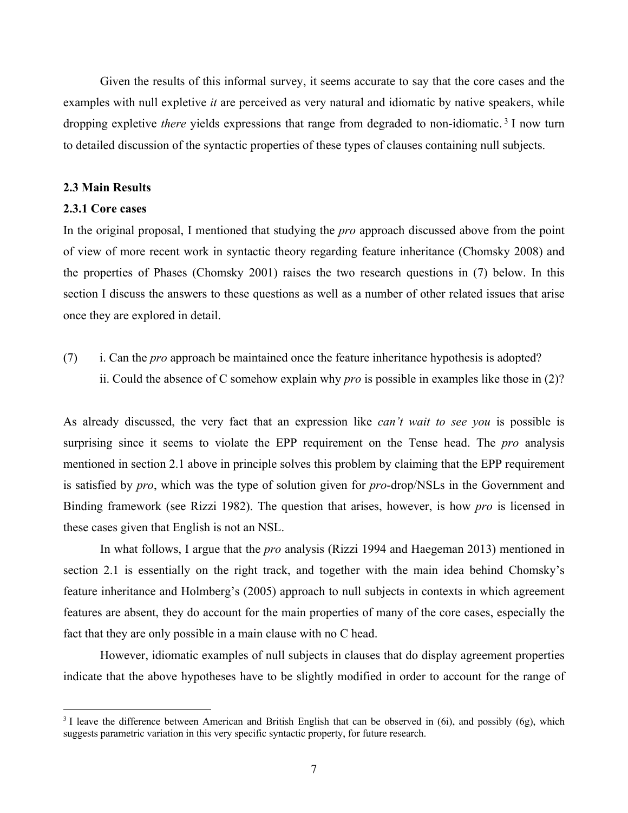Given the results of this informal survey, it seems accurate to say that the core cases and the examples with null expletive *it* are perceived as very natural and idiomatic by native speakers, while dropping expletive *there* yields expressions that range from degraded to non-idiomatic. <sup>3</sup> I now turn to detailed discussion of the syntactic properties of these types of clauses containing null subjects.

### **2.3 Main Results**

#### **2.3.1 Core cases**

In the original proposal, I mentioned that studying the *pro* approach discussed above from the point of view of more recent work in syntactic theory regarding feature inheritance (Chomsky 2008) and the properties of Phases (Chomsky 2001) raises the two research questions in (7) below. In this section I discuss the answers to these questions as well as a number of other related issues that arise once they are explored in detail.

(7) i. Can the *pro* approach be maintained once the feature inheritance hypothesis is adopted? ii. Could the absence of C somehow explain why *pro* is possible in examples like those in (2)?

As already discussed, the very fact that an expression like *can't wait to see you* is possible is surprising since it seems to violate the EPP requirement on the Tense head. The *pro* analysis mentioned in section 2.1 above in principle solves this problem by claiming that the EPP requirement is satisfied by *pro*, which was the type of solution given for *pro*-drop/NSLs in the Government and Binding framework (see Rizzi 1982). The question that arises, however, is how *pro* is licensed in these cases given that English is not an NSL.

In what follows, I argue that the *pro* analysis (Rizzi 1994 and Haegeman 2013) mentioned in section 2.1 is essentially on the right track, and together with the main idea behind Chomsky's feature inheritance and Holmberg's (2005) approach to null subjects in contexts in which agreement features are absent, they do account for the main properties of many of the core cases, especially the fact that they are only possible in a main clause with no C head.

However, idiomatic examples of null subjects in clauses that do display agreement properties indicate that the above hypotheses have to be slightly modified in order to account for the range of

<sup>&</sup>lt;sup>3</sup> I leave the difference between American and British English that can be observed in (6i), and possibly (6g), which suggests parametric variation in this very specific syntactic property, for future research.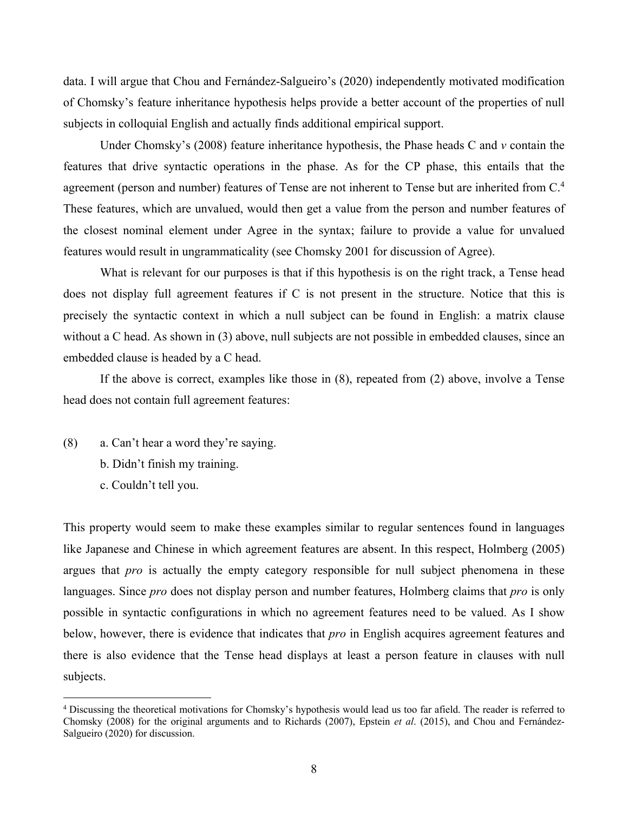data. I will argue that Chou and Fernández-Salgueiro's (2020) independently motivated modification of Chomsky's feature inheritance hypothesis helps provide a better account of the properties of null subjects in colloquial English and actually finds additional empirical support.

Under Chomsky's (2008) feature inheritance hypothesis, the Phase heads C and *v* contain the features that drive syntactic operations in the phase. As for the CP phase, this entails that the agreement (person and number) features of Tense are not inherent to Tense but are inherited from C.<sup>4</sup> These features, which are unvalued, would then get a value from the person and number features of the closest nominal element under Agree in the syntax; failure to provide a value for unvalued features would result in ungrammaticality (see Chomsky 2001 for discussion of Agree).

What is relevant for our purposes is that if this hypothesis is on the right track, a Tense head does not display full agreement features if C is not present in the structure. Notice that this is precisely the syntactic context in which a null subject can be found in English: a matrix clause without a C head. As shown in (3) above, null subjects are not possible in embedded clauses, since an embedded clause is headed by a C head.

If the above is correct, examples like those in (8), repeated from (2) above, involve a Tense head does not contain full agreement features:

- (8) a. Can't hear a word they're saying.
	- b. Didn't finish my training.
	- c. Couldn't tell you.

This property would seem to make these examples similar to regular sentences found in languages like Japanese and Chinese in which agreement features are absent. In this respect, Holmberg (2005) argues that *pro* is actually the empty category responsible for null subject phenomena in these languages. Since *pro* does not display person and number features, Holmberg claims that *pro* is only possible in syntactic configurations in which no agreement features need to be valued. As I show below, however, there is evidence that indicates that *pro* in English acquires agreement features and there is also evidence that the Tense head displays at least a person feature in clauses with null subjects.

<sup>4</sup> Discussing the theoretical motivations for Chomsky's hypothesis would lead us too far afield. The reader is referred to Chomsky (2008) for the original arguments and to Richards (2007), Epstein *et al*. (2015), and Chou and Fernández-Salgueiro (2020) for discussion.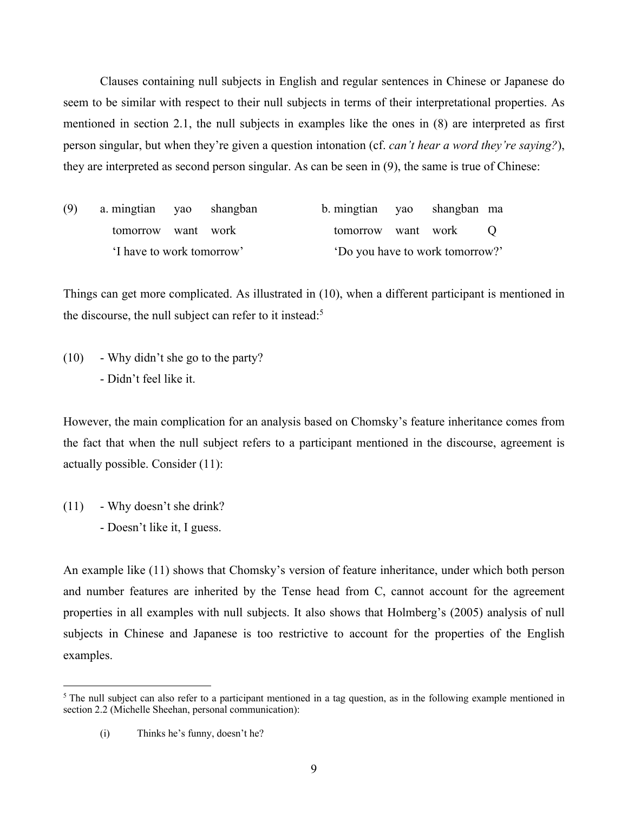Clauses containing null subjects in English and regular sentences in Chinese or Japanese do seem to be similar with respect to their null subjects in terms of their interpretational properties. As mentioned in section 2.1, the null subjects in examples like the ones in (8) are interpreted as first person singular, but when they're given a question intonation (cf. *can't hear a word they're saying?*), they are interpreted as second person singular. As can be seen in (9), the same is true of Chinese:

| (9)                       | a mingtian yao shangban |  |                                 | b. mingtian yao shangban ma |                      |  |
|---------------------------|-------------------------|--|---------------------------------|-----------------------------|----------------------|--|
|                           | tomorrow want work      |  |                                 |                             | tomorrow want work O |  |
| 'I have to work tomorrow' |                         |  | 'Do you have to work tomorrow?' |                             |                      |  |

Things can get more complicated. As illustrated in (10), when a different participant is mentioned in the discourse, the null subject can refer to it instead:<sup>5</sup>

(10) - Why didn't she go to the party? - Didn't feel like it.

However, the main complication for an analysis based on Chomsky's feature inheritance comes from the fact that when the null subject refers to a participant mentioned in the discourse, agreement is actually possible. Consider (11):

 $(11)$  - Why doesn't she drink? - Doesn't like it, I guess.

An example like (11) shows that Chomsky's version of feature inheritance, under which both person and number features are inherited by the Tense head from C, cannot account for the agreement properties in all examples with null subjects. It also shows that Holmberg's (2005) analysis of null subjects in Chinese and Japanese is too restrictive to account for the properties of the English examples.

<sup>&</sup>lt;sup>5</sup> The null subject can also refer to a participant mentioned in a tag question, as in the following example mentioned in section 2.2 (Michelle Sheehan, personal communication):

<sup>(</sup>i) Thinks he's funny, doesn't he?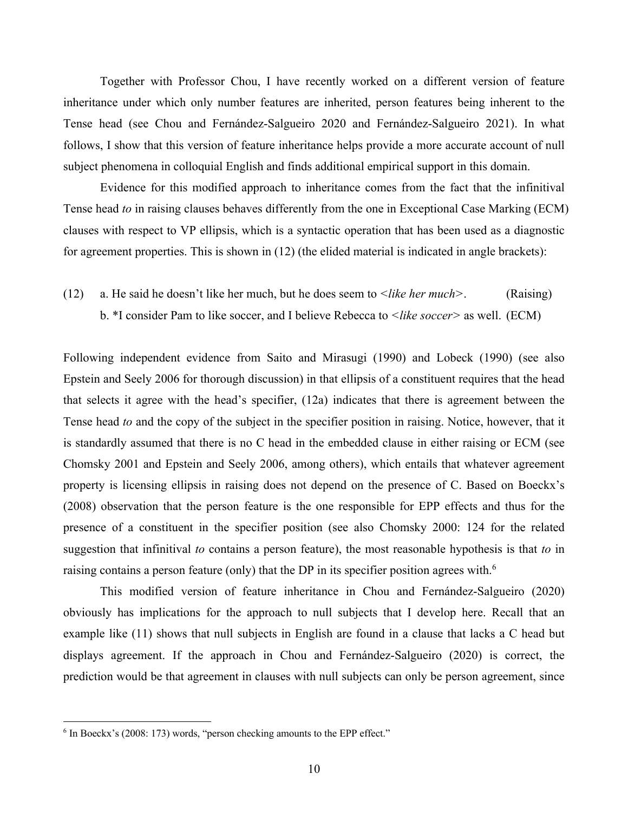Together with Professor Chou, I have recently worked on a different version of feature inheritance under which only number features are inherited, person features being inherent to the Tense head (see Chou and Fernández-Salgueiro 2020 and Fernández-Salgueiro 2021). In what follows, I show that this version of feature inheritance helps provide a more accurate account of null subject phenomena in colloquial English and finds additional empirical support in this domain.

Evidence for this modified approach to inheritance comes from the fact that the infinitival Tense head *to* in raising clauses behaves differently from the one in Exceptional Case Marking (ECM) clauses with respect to VP ellipsis, which is a syntactic operation that has been used as a diagnostic for agreement properties. This is shown in (12) (the elided material is indicated in angle brackets):

(12) a. He said he doesn't like her much, but he does seem to *<like her much>*. (Raising) b. \*I consider Pam to like soccer, and I believe Rebecca to *<like soccer>* as well. (ECM)

Following independent evidence from Saito and Mirasugi (1990) and Lobeck (1990) (see also Epstein and Seely 2006 for thorough discussion) in that ellipsis of a constituent requires that the head that selects it agree with the head's specifier, (12a) indicates that there is agreement between the Tense head *to* and the copy of the subject in the specifier position in raising. Notice, however, that it is standardly assumed that there is no C head in the embedded clause in either raising or ECM (see Chomsky 2001 and Epstein and Seely 2006, among others), which entails that whatever agreement property is licensing ellipsis in raising does not depend on the presence of C. Based on Boeckx's (2008) observation that the person feature is the one responsible for EPP effects and thus for the presence of a constituent in the specifier position (see also Chomsky 2000: 124 for the related suggestion that infinitival *to* contains a person feature), the most reasonable hypothesis is that *to* in raising contains a person feature (only) that the DP in its specifier position agrees with.<sup>6</sup>

This modified version of feature inheritance in Chou and Fernández-Salgueiro (2020) obviously has implications for the approach to null subjects that I develop here. Recall that an example like (11) shows that null subjects in English are found in a clause that lacks a C head but displays agreement. If the approach in Chou and Fernández-Salgueiro (2020) is correct, the prediction would be that agreement in clauses with null subjects can only be person agreement, since

<sup>6</sup> In Boeckx's (2008: 173) words, "person checking amounts to the EPP effect."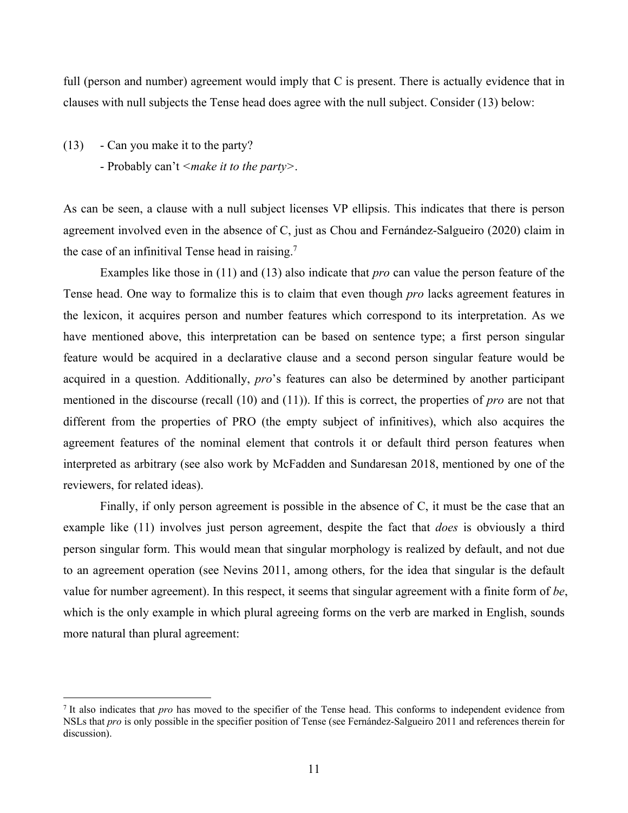full (person and number) agreement would imply that C is present. There is actually evidence that in clauses with null subjects the Tense head does agree with the null subject. Consider (13) below:

(13) - Can you make it to the party? - Probably can't *<make it to the party>*.

As can be seen, a clause with a null subject licenses VP ellipsis. This indicates that there is person agreement involved even in the absence of C, just as Chou and Fernández-Salgueiro (2020) claim in the case of an infinitival Tense head in raising.<sup>7</sup>

Examples like those in (11) and (13) also indicate that *pro* can value the person feature of the Tense head. One way to formalize this is to claim that even though *pro* lacks agreement features in the lexicon, it acquires person and number features which correspond to its interpretation. As we have mentioned above, this interpretation can be based on sentence type; a first person singular feature would be acquired in a declarative clause and a second person singular feature would be acquired in a question. Additionally, *pro*'s features can also be determined by another participant mentioned in the discourse (recall (10) and (11)). If this is correct, the properties of *pro* are not that different from the properties of PRO (the empty subject of infinitives), which also acquires the agreement features of the nominal element that controls it or default third person features when interpreted as arbitrary (see also work by McFadden and Sundaresan 2018, mentioned by one of the reviewers, for related ideas).

Finally, if only person agreement is possible in the absence of C, it must be the case that an example like (11) involves just person agreement, despite the fact that *does* is obviously a third person singular form. This would mean that singular morphology is realized by default, and not due to an agreement operation (see Nevins 2011, among others, for the idea that singular is the default value for number agreement). In this respect, it seems that singular agreement with a finite form of *be*, which is the only example in which plural agreeing forms on the verb are marked in English, sounds more natural than plural agreement:

<sup>7</sup> It also indicates that *pro* has moved to the specifier of the Tense head. This conforms to independent evidence from NSLs that *pro* is only possible in the specifier position of Tense (see Fernández-Salgueiro 2011 and references therein for discussion).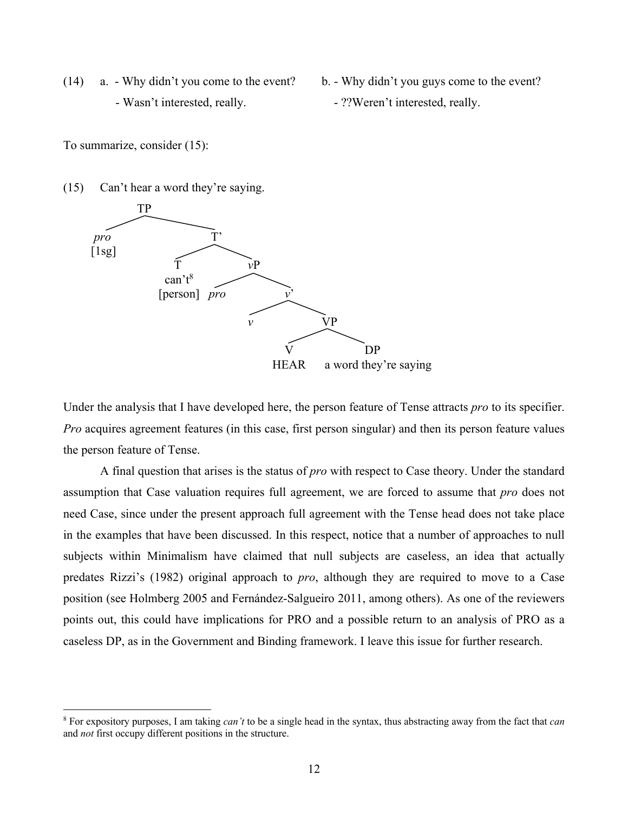- (14) a. Why didn't you come to the event? b. Why didn't you guys come to the event? - Wasn't interested, really.  $\blacksquare$  . ??Weren't interested, really.
	- -

To summarize, consider (15):

(15) Can't hear a word they're saying.



Under the analysis that I have developed here, the person feature of Tense attracts *pro* to its specifier. *Pro* acquires agreement features (in this case, first person singular) and then its person feature values the person feature of Tense.

A final question that arises is the status of *pro* with respect to Case theory. Under the standard assumption that Case valuation requires full agreement, we are forced to assume that *pro* does not need Case, since under the present approach full agreement with the Tense head does not take place in the examples that have been discussed. In this respect, notice that a number of approaches to null subjects within Minimalism have claimed that null subjects are caseless, an idea that actually predates Rizzi's (1982) original approach to *pro*, although they are required to move to a Case position (see Holmberg 2005 and Fernández-Salgueiro 2011, among others). As one of the reviewers points out, this could have implications for PRO and a possible return to an analysis of PRO as a caseless DP, as in the Government and Binding framework. I leave this issue for further research.

<sup>8</sup> For expository purposes, I am taking *can't* to be a single head in the syntax, thus abstracting away from the fact that *can* and *not* first occupy different positions in the structure.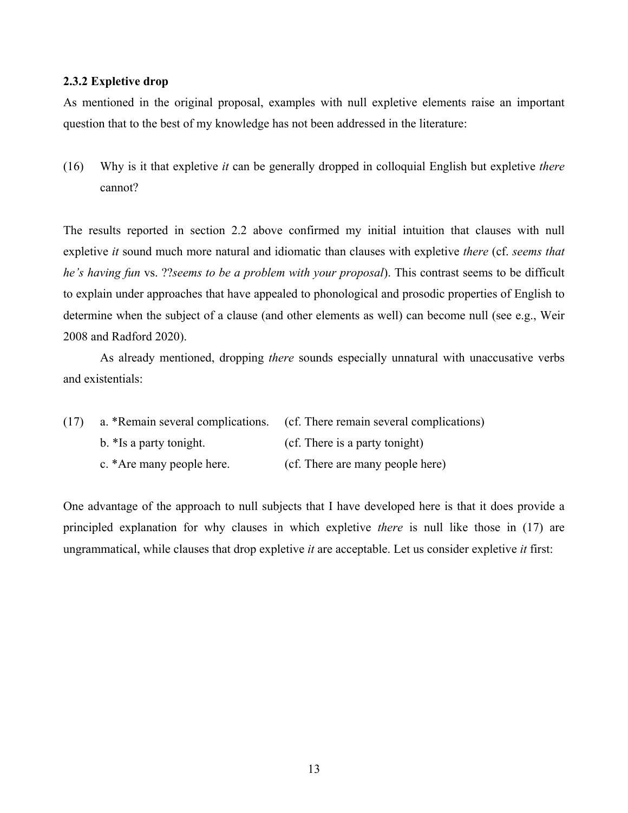## **2.3.2 Expletive drop**

As mentioned in the original proposal, examples with null expletive elements raise an important question that to the best of my knowledge has not been addressed in the literature:

(16) Why is it that expletive *it* can be generally dropped in colloquial English but expletive *there* cannot?

The results reported in section 2.2 above confirmed my initial intuition that clauses with null expletive *it* sound much more natural and idiomatic than clauses with expletive *there* (cf. *seems that he's having fun* vs. ??*seems to be a problem with your proposal*). This contrast seems to be difficult to explain under approaches that have appealed to phonological and prosodic properties of English to determine when the subject of a clause (and other elements as well) can become null (see e.g., Weir 2008 and Radford 2020).

As already mentioned, dropping *there* sounds especially unnatural with unaccusative verbs and existentials:

| (17) |                           | a. *Remain several complications. (cf. There remain several complications) |
|------|---------------------------|----------------------------------------------------------------------------|
|      | b. *Is a party tonight.   | (cf. There is a party tonight)                                             |
|      | c. *Are many people here. | (cf. There are many people here)                                           |

One advantage of the approach to null subjects that I have developed here is that it does provide a principled explanation for why clauses in which expletive *there* is null like those in (17) are ungrammatical, while clauses that drop expletive *it* are acceptable. Let us consider expletive *it* first: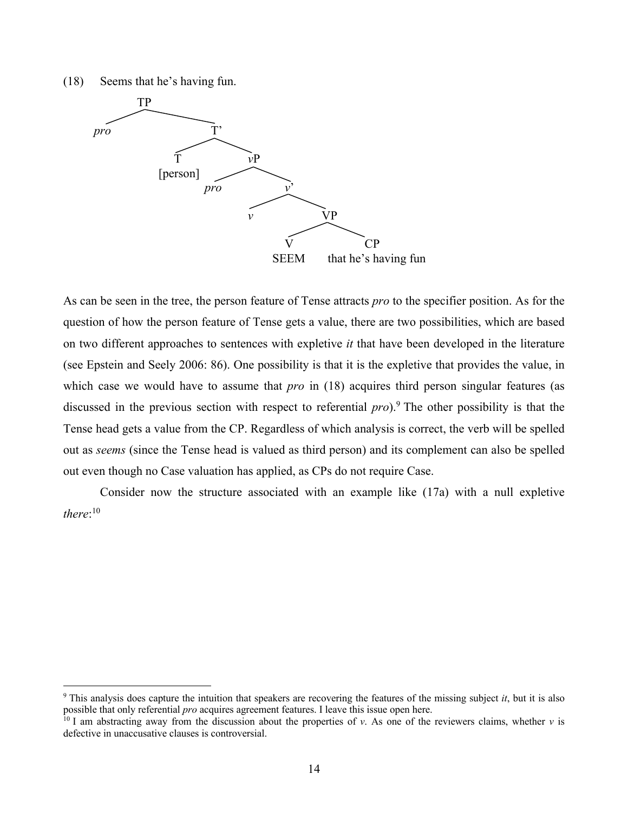(18) Seems that he's having fun.



As can be seen in the tree, the person feature of Tense attracts *pro* to the specifier position. As for the question of how the person feature of Tense gets a value, there are two possibilities, which are based on two different approaches to sentences with expletive *it* that have been developed in the literature (see Epstein and Seely 2006: 86). One possibility is that it is the expletive that provides the value, in which case we would have to assume that *pro* in (18) acquires third person singular features (as discussed in the previous section with respect to referential *pro*).9 The other possibility is that the Tense head gets a value from the CP. Regardless of which analysis is correct, the verb will be spelled out as *seems* (since the Tense head is valued as third person) and its complement can also be spelled out even though no Case valuation has applied, as CPs do not require Case.

Consider now the structure associated with an example like (17a) with a null expletive *there*: 10

<sup>9</sup> This analysis does capture the intuition that speakers are recovering the features of the missing subject *it*, but it is also possible that only referential *pro* acquires agreement features. I leave this issue open here.

<sup>&</sup>lt;sup>10</sup> I am abstracting away from the discussion about the properties of *v*. As one of the reviewers claims, whether *v* is defective in unaccusative clauses is controversial.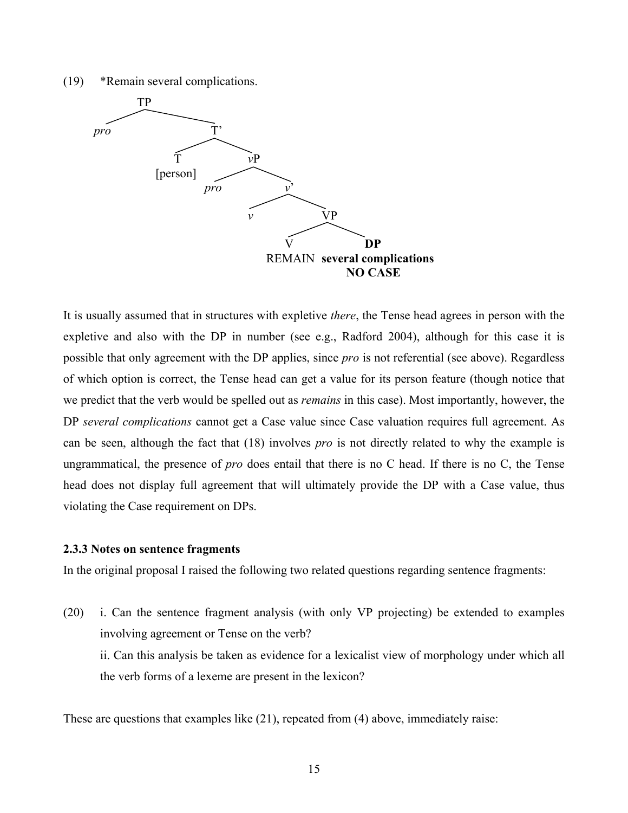(19) \*Remain several complications.



It is usually assumed that in structures with expletive *there*, the Tense head agrees in person with the expletive and also with the DP in number (see e.g., Radford 2004), although for this case it is possible that only agreement with the DP applies, since *pro* is not referential (see above). Regardless of which option is correct, the Tense head can get a value for its person feature (though notice that we predict that the verb would be spelled out as *remains* in this case). Most importantly, however, the DP *several complications* cannot get a Case value since Case valuation requires full agreement. As can be seen, although the fact that (18) involves *pro* is not directly related to why the example is ungrammatical, the presence of *pro* does entail that there is no C head. If there is no C, the Tense head does not display full agreement that will ultimately provide the DP with a Case value, thus violating the Case requirement on DPs.

## **2.3.3 Notes on sentence fragments**

In the original proposal I raised the following two related questions regarding sentence fragments:

(20) i. Can the sentence fragment analysis (with only VP projecting) be extended to examples involving agreement or Tense on the verb? ii. Can this analysis be taken as evidence for a lexicalist view of morphology under which all the verb forms of a lexeme are present in the lexicon?

These are questions that examples like (21), repeated from (4) above, immediately raise: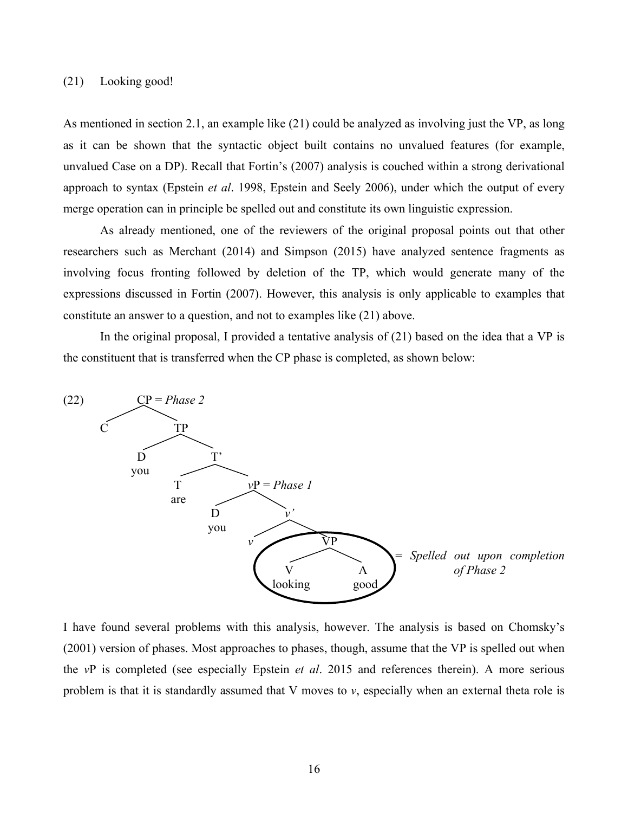## (21) Looking good!

As mentioned in section 2.1, an example like (21) could be analyzed as involving just the VP, as long as it can be shown that the syntactic object built contains no unvalued features (for example, unvalued Case on a DP). Recall that Fortin's (2007) analysis is couched within a strong derivational approach to syntax (Epstein *et al*. 1998, Epstein and Seely 2006), under which the output of every merge operation can in principle be spelled out and constitute its own linguistic expression.

As already mentioned, one of the reviewers of the original proposal points out that other researchers such as Merchant (2014) and Simpson (2015) have analyzed sentence fragments as involving focus fronting followed by deletion of the TP, which would generate many of the expressions discussed in Fortin (2007). However, this analysis is only applicable to examples that constitute an answer to a question, and not to examples like (21) above.

In the original proposal, I provided a tentative analysis of (21) based on the idea that a VP is the constituent that is transferred when the CP phase is completed, as shown below:



I have found several problems with this analysis, however. The analysis is based on Chomsky's (2001) version of phases. Most approaches to phases, though, assume that the VP is spelled out when the *v*P is completed (see especially Epstein *et al*. 2015 and references therein). A more serious problem is that it is standardly assumed that V moves to *v*, especially when an external theta role is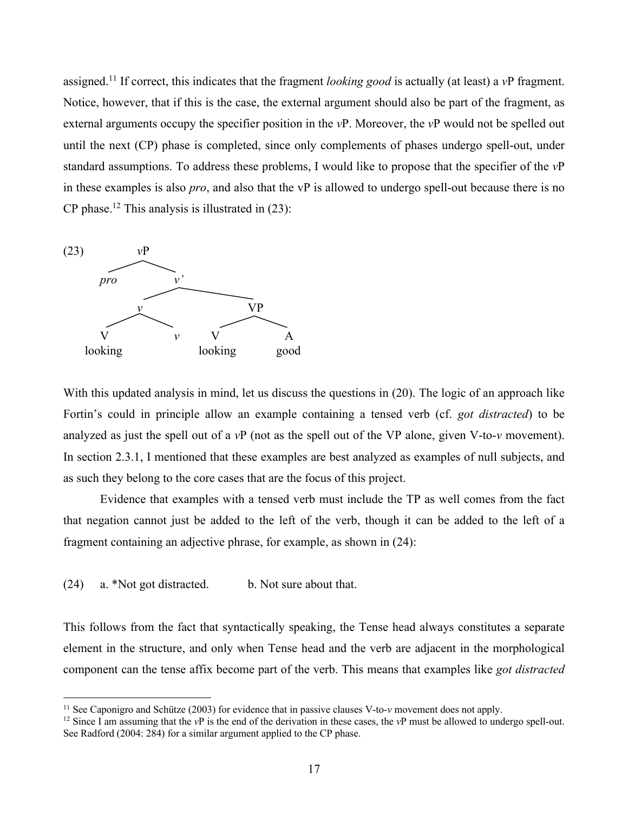assigned.11 If correct, this indicates that the fragment *looking good* is actually (at least) a *v*P fragment. Notice, however, that if this is the case, the external argument should also be part of the fragment, as external arguments occupy the specifier position in the *v*P. Moreover, the *v*P would not be spelled out until the next (CP) phase is completed, since only complements of phases undergo spell-out, under standard assumptions. To address these problems, I would like to propose that the specifier of the *v*P in these examples is also *pro*, and also that the vP is allowed to undergo spell-out because there is no CP phase.<sup>12</sup> This analysis is illustrated in  $(23)$ :



With this updated analysis in mind, let us discuss the questions in (20). The logic of an approach like Fortin's could in principle allow an example containing a tensed verb (cf. *got distracted*) to be analyzed as just the spell out of a *v*P (not as the spell out of the VP alone, given V-to-*v* movement). In section 2.3.1, I mentioned that these examples are best analyzed as examples of null subjects, and as such they belong to the core cases that are the focus of this project.

Evidence that examples with a tensed verb must include the TP as well comes from the fact that negation cannot just be added to the left of the verb, though it can be added to the left of a fragment containing an adjective phrase, for example, as shown in (24):

(24) a. \*Not got distracted. b. Not sure about that.

This follows from the fact that syntactically speaking, the Tense head always constitutes a separate element in the structure, and only when Tense head and the verb are adjacent in the morphological component can the tense affix become part of the verb. This means that examples like *got distracted*

<sup>&</sup>lt;sup>11</sup> See Caponigro and Schütze (2003) for evidence that in passive clauses V-to- $\nu$  movement does not apply.<br><sup>12</sup> Since I am assuming that the  $\nu$ P is the end of the derivation in these cases, the  $\nu$ P must be allowed See Radford (2004: 284) for a similar argument applied to the CP phase.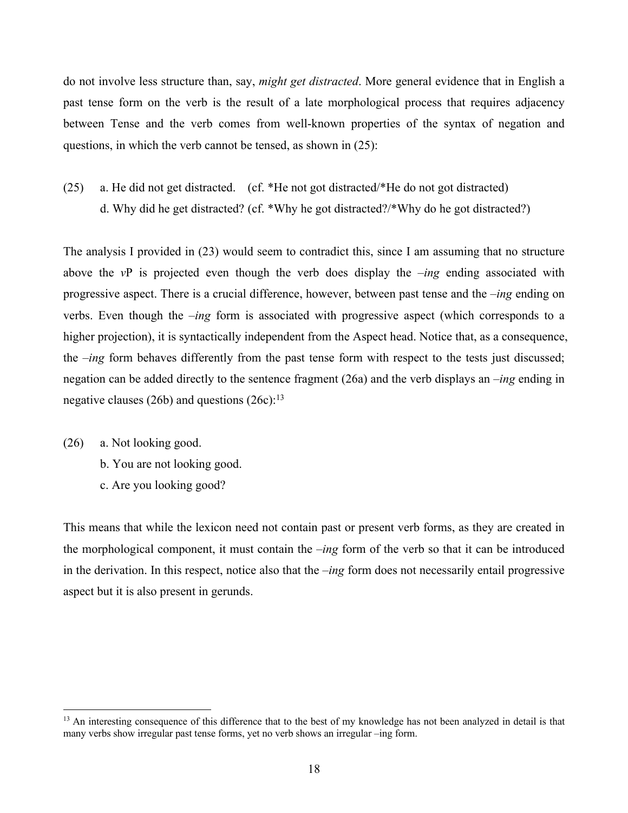do not involve less structure than, say, *might get distracted*. More general evidence that in English a past tense form on the verb is the result of a late morphological process that requires adjacency between Tense and the verb comes from well-known properties of the syntax of negation and questions, in which the verb cannot be tensed, as shown in (25):

(25) a. He did not get distracted. (cf. \*He not got distracted/\*He do not got distracted) d. Why did he get distracted? (cf. \*Why he got distracted?/\*Why do he got distracted?)

The analysis I provided in (23) would seem to contradict this, since I am assuming that no structure above the *v*P is projected even though the verb does display the *–ing* ending associated with progressive aspect. There is a crucial difference, however, between past tense and the *–ing* ending on verbs. Even though the *–ing* form is associated with progressive aspect (which corresponds to a higher projection), it is syntactically independent from the Aspect head. Notice that, as a consequence, the *–ing* form behaves differently from the past tense form with respect to the tests just discussed; negation can be added directly to the sentence fragment (26a) and the verb displays an *–ing* ending in negative clauses (26b) and questions  $(26c)$ :<sup>13</sup>

- (26) a. Not looking good.
	- b. You are not looking good.
	- c. Are you looking good?

This means that while the lexicon need not contain past or present verb forms, as they are created in the morphological component, it must contain the *–ing* form of the verb so that it can be introduced in the derivation. In this respect, notice also that the *–ing* form does not necessarily entail progressive aspect but it is also present in gerunds.

<sup>&</sup>lt;sup>13</sup> An interesting consequence of this difference that to the best of my knowledge has not been analyzed in detail is that many verbs show irregular past tense forms, yet no verb shows an irregular –ing form.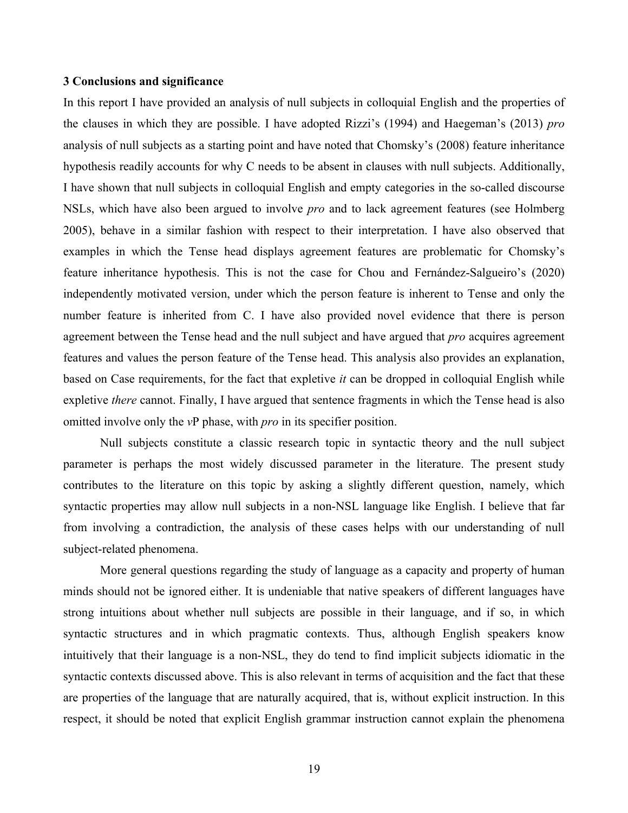#### **3 Conclusions and significance**

In this report I have provided an analysis of null subjects in colloquial English and the properties of the clauses in which they are possible. I have adopted Rizzi's (1994) and Haegeman's (2013) *pro* analysis of null subjects as a starting point and have noted that Chomsky's (2008) feature inheritance hypothesis readily accounts for why C needs to be absent in clauses with null subjects. Additionally, I have shown that null subjects in colloquial English and empty categories in the so-called discourse NSLs, which have also been argued to involve *pro* and to lack agreement features (see Holmberg 2005), behave in a similar fashion with respect to their interpretation. I have also observed that examples in which the Tense head displays agreement features are problematic for Chomsky's feature inheritance hypothesis. This is not the case for Chou and Fernández-Salgueiro's (2020) independently motivated version, under which the person feature is inherent to Tense and only the number feature is inherited from C. I have also provided novel evidence that there is person agreement between the Tense head and the null subject and have argued that *pro* acquires agreement features and values the person feature of the Tense head. This analysis also provides an explanation, based on Case requirements, for the fact that expletive *it* can be dropped in colloquial English while expletive *there* cannot. Finally, I have argued that sentence fragments in which the Tense head is also omitted involve only the *v*P phase, with *pro* in its specifier position.

Null subjects constitute a classic research topic in syntactic theory and the null subject parameter is perhaps the most widely discussed parameter in the literature. The present study contributes to the literature on this topic by asking a slightly different question, namely, which syntactic properties may allow null subjects in a non-NSL language like English. I believe that far from involving a contradiction, the analysis of these cases helps with our understanding of null subject-related phenomena.

More general questions regarding the study of language as a capacity and property of human minds should not be ignored either. It is undeniable that native speakers of different languages have strong intuitions about whether null subjects are possible in their language, and if so, in which syntactic structures and in which pragmatic contexts. Thus, although English speakers know intuitively that their language is a non-NSL, they do tend to find implicit subjects idiomatic in the syntactic contexts discussed above. This is also relevant in terms of acquisition and the fact that these are properties of the language that are naturally acquired, that is, without explicit instruction. In this respect, it should be noted that explicit English grammar instruction cannot explain the phenomena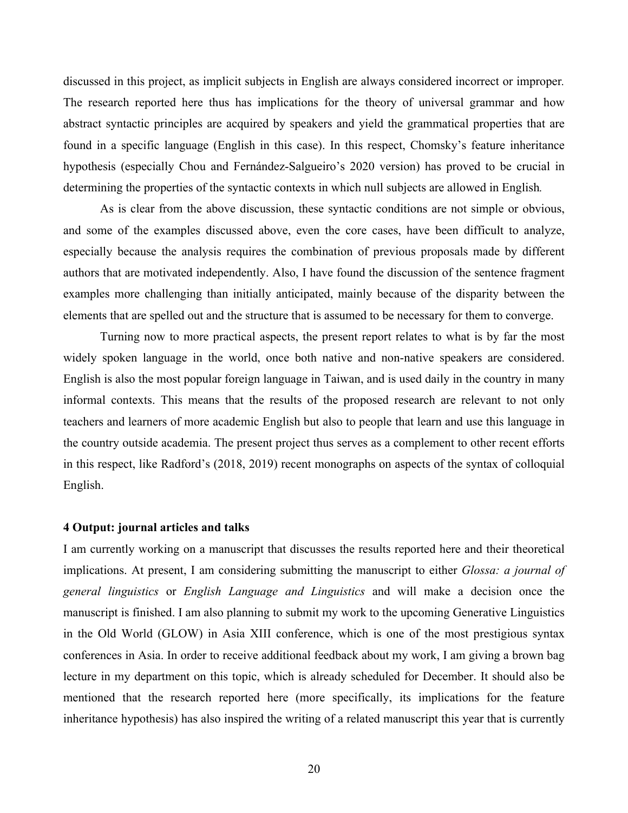discussed in this project, as implicit subjects in English are always considered incorrect or improper*.*  The research reported here thus has implications for the theory of universal grammar and how abstract syntactic principles are acquired by speakers and yield the grammatical properties that are found in a specific language (English in this case). In this respect, Chomsky's feature inheritance hypothesis (especially Chou and Fernández-Salgueiro's 2020 version) has proved to be crucial in determining the properties of the syntactic contexts in which null subjects are allowed in English*.*

As is clear from the above discussion, these syntactic conditions are not simple or obvious, and some of the examples discussed above, even the core cases, have been difficult to analyze, especially because the analysis requires the combination of previous proposals made by different authors that are motivated independently. Also, I have found the discussion of the sentence fragment examples more challenging than initially anticipated, mainly because of the disparity between the elements that are spelled out and the structure that is assumed to be necessary for them to converge.

Turning now to more practical aspects, the present report relates to what is by far the most widely spoken language in the world, once both native and non-native speakers are considered. English is also the most popular foreign language in Taiwan, and is used daily in the country in many informal contexts. This means that the results of the proposed research are relevant to not only teachers and learners of more academic English but also to people that learn and use this language in the country outside academia. The present project thus serves as a complement to other recent efforts in this respect, like Radford's (2018, 2019) recent monographs on aspects of the syntax of colloquial English.

#### **4 Output: journal articles and talks**

I am currently working on a manuscript that discusses the results reported here and their theoretical implications. At present, I am considering submitting the manuscript to either *Glossa: a journal of general linguistics* or *English Language and Linguistics* and will make a decision once the manuscript is finished. I am also planning to submit my work to the upcoming Generative Linguistics in the Old World (GLOW) in Asia XIII conference, which is one of the most prestigious syntax conferences in Asia. In order to receive additional feedback about my work, I am giving a brown bag lecture in my department on this topic, which is already scheduled for December. It should also be mentioned that the research reported here (more specifically, its implications for the feature inheritance hypothesis) has also inspired the writing of a related manuscript this year that is currently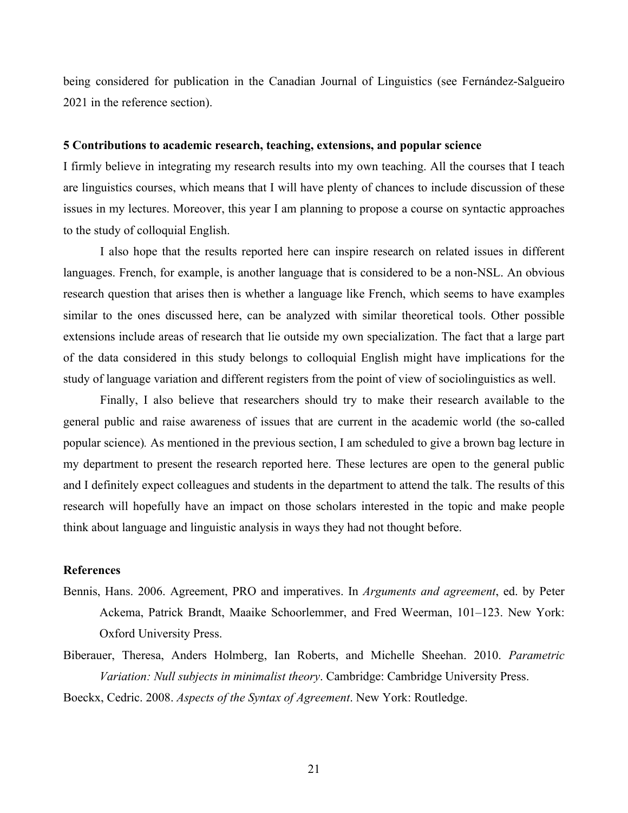being considered for publication in the Canadian Journal of Linguistics (see Fernández-Salgueiro 2021 in the reference section).

#### **5 Contributions to academic research, teaching, extensions, and popular science**

I firmly believe in integrating my research results into my own teaching. All the courses that I teach are linguistics courses, which means that I will have plenty of chances to include discussion of these issues in my lectures. Moreover, this year I am planning to propose a course on syntactic approaches to the study of colloquial English.

I also hope that the results reported here can inspire research on related issues in different languages. French, for example, is another language that is considered to be a non-NSL. An obvious research question that arises then is whether a language like French, which seems to have examples similar to the ones discussed here, can be analyzed with similar theoretical tools. Other possible extensions include areas of research that lie outside my own specialization. The fact that a large part of the data considered in this study belongs to colloquial English might have implications for the study of language variation and different registers from the point of view of sociolinguistics as well.

Finally, I also believe that researchers should try to make their research available to the general public and raise awareness of issues that are current in the academic world (the so-called popular science)*.* As mentioned in the previous section, I am scheduled to give a brown bag lecture in my department to present the research reported here. These lectures are open to the general public and I definitely expect colleagues and students in the department to attend the talk. The results of this research will hopefully have an impact on those scholars interested in the topic and make people think about language and linguistic analysis in ways they had not thought before.

## **References**

- Bennis, Hans. 2006. Agreement, PRO and imperatives. In *Arguments and agreement*, ed. by Peter Ackema, Patrick Brandt, Maaike Schoorlemmer, and Fred Weerman, 101–123. New York: Oxford University Press.
- Biberauer, Theresa, Anders Holmberg, Ian Roberts, and Michelle Sheehan. 2010. *Parametric Variation: Null subjects in minimalist theory*. Cambridge: Cambridge University Press. Boeckx, Cedric. 2008. *Aspects of the Syntax of Agreement*. New York: Routledge.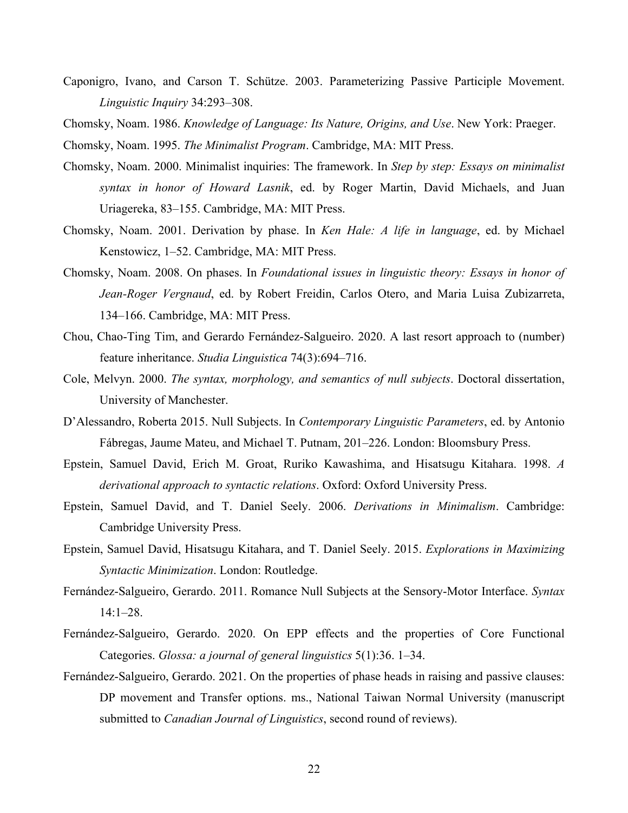- Caponigro, Ivano, and Carson T. Schütze. 2003. Parameterizing Passive Participle Movement. *Linguistic Inquiry* 34:293–308.
- Chomsky, Noam. 1986. *Knowledge of Language: Its Nature, Origins, and Use*. New York: Praeger.

Chomsky, Noam. 1995. *The Minimalist Program*. Cambridge, MA: MIT Press.

- Chomsky, Noam. 2000. Minimalist inquiries: The framework. In *Step by step: Essays on minimalist syntax in honor of Howard Lasnik*, ed. by Roger Martin, David Michaels, and Juan Uriagereka, 83–155. Cambridge, MA: MIT Press.
- Chomsky, Noam. 2001. Derivation by phase. In *Ken Hale: A life in language*, ed. by Michael Kenstowicz, 1–52. Cambridge, MA: MIT Press.
- Chomsky, Noam. 2008. On phases. In *Foundational issues in linguistic theory: Essays in honor of Jean-Roger Vergnaud*, ed. by Robert Freidin, Carlos Otero, and Maria Luisa Zubizarreta, 134–166. Cambridge, MA: MIT Press.
- Chou, Chao-Ting Tim, and Gerardo Fernández-Salgueiro. 2020. A last resort approach to (number) feature inheritance. *Studia Linguistica* 74(3):694–716.
- Cole, Melvyn. 2000. *The syntax, morphology, and semantics of null subjects*. Doctoral dissertation, University of Manchester.
- D'Alessandro, Roberta 2015. Null Subjects. In *Contemporary Linguistic Parameters*, ed. by Antonio Fábregas, Jaume Mateu, and Michael T. Putnam, 201–226. London: Bloomsbury Press.
- Epstein, Samuel David, Erich M. Groat, Ruriko Kawashima, and Hisatsugu Kitahara. 1998. *A derivational approach to syntactic relations*. Oxford: Oxford University Press.
- Epstein, Samuel David, and T. Daniel Seely. 2006. *Derivations in Minimalism*. Cambridge: Cambridge University Press.
- Epstein, Samuel David, Hisatsugu Kitahara, and T. Daniel Seely. 2015. *Explorations in Maximizing Syntactic Minimization*. London: Routledge.
- Fernández-Salgueiro, Gerardo. 2011. Romance Null Subjects at the Sensory-Motor Interface. *Syntax* 14:1–28.
- Fernández-Salgueiro, Gerardo. 2020. On EPP effects and the properties of Core Functional Categories. *Glossa: a journal of general linguistics* 5(1):36. 1–34.
- Fernández-Salgueiro, Gerardo. 2021. On the properties of phase heads in raising and passive clauses: DP movement and Transfer options. ms., National Taiwan Normal University (manuscript submitted to *Canadian Journal of Linguistics*, second round of reviews).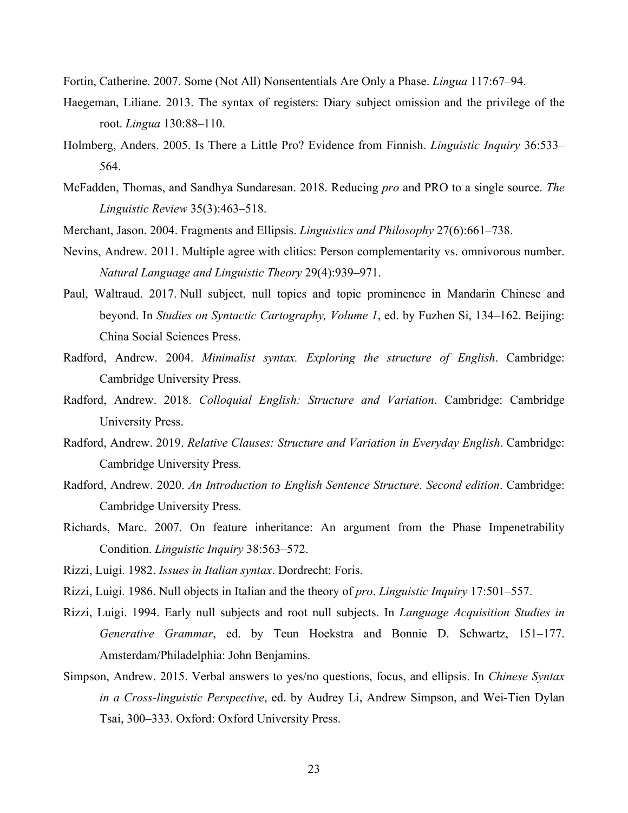Fortin, Catherine. 2007. Some (Not All) Nonsententials Are Only a Phase. *Lingua* 117:67–94.

- Haegeman, Liliane. 2013. The syntax of registers: Diary subject omission and the privilege of the root. *Lingua* 130:88–110.
- Holmberg, Anders. 2005. Is There a Little Pro? Evidence from Finnish. *Linguistic Inquiry* 36:533– 564.
- McFadden, Thomas, and Sandhya Sundaresan. 2018. Reducing *pro* and PRO to a single source. *The Linguistic Review* 35(3):463–518.
- Merchant, Jason. 2004. Fragments and Ellipsis. *Linguistics and Philosophy* 27(6):661–738.
- Nevins, Andrew. 2011. Multiple agree with clitics: Person complementarity vs. omnivorous number. *Natural Language and Linguistic Theory* 29(4):939–971.
- Paul, Waltraud. 2017. Null subject, null topics and topic prominence in Mandarin Chinese and beyond. In *Studies on Syntactic Cartography, Volume 1*, ed. by Fuzhen Si, 134–162. Beijing: China Social Sciences Press.
- Radford, Andrew. 2004. *Minimalist syntax. Exploring the structure of English*. Cambridge: Cambridge University Press.
- Radford, Andrew. 2018. *Colloquial English: Structure and Variation*. Cambridge: Cambridge University Press.
- Radford, Andrew. 2019. *Relative Clauses: Structure and Variation in Everyday English*. Cambridge: Cambridge University Press.
- Radford, Andrew. 2020. *An Introduction to English Sentence Structure. Second edition*. Cambridge: Cambridge University Press.
- Richards, Marc. 2007. On feature inheritance: An argument from the Phase Impenetrability Condition. *Linguistic Inquiry* 38:563–572.
- Rizzi, Luigi. 1982. *Issues in Italian syntax*. Dordrecht: Foris.
- Rizzi, Luigi. 1986. Null objects in Italian and the theory of *pro*. *Linguistic Inquiry* 17:501–557.
- Rizzi, Luigi. 1994. Early null subjects and root null subjects. In *Language Acquisition Studies in Generative Grammar*, ed. by Teun Hoekstra and Bonnie D. Schwartz, 151–177. Amsterdam/Philadelphia: John Benjamins.
- Simpson, Andrew. 2015. Verbal answers to yes/no questions, focus, and ellipsis. In *Chinese Syntax in a Cross-linguistic Perspective*, ed. by Audrey Li, Andrew Simpson, and Wei-Tien Dylan Tsai, 300–333. Oxford: Oxford University Press.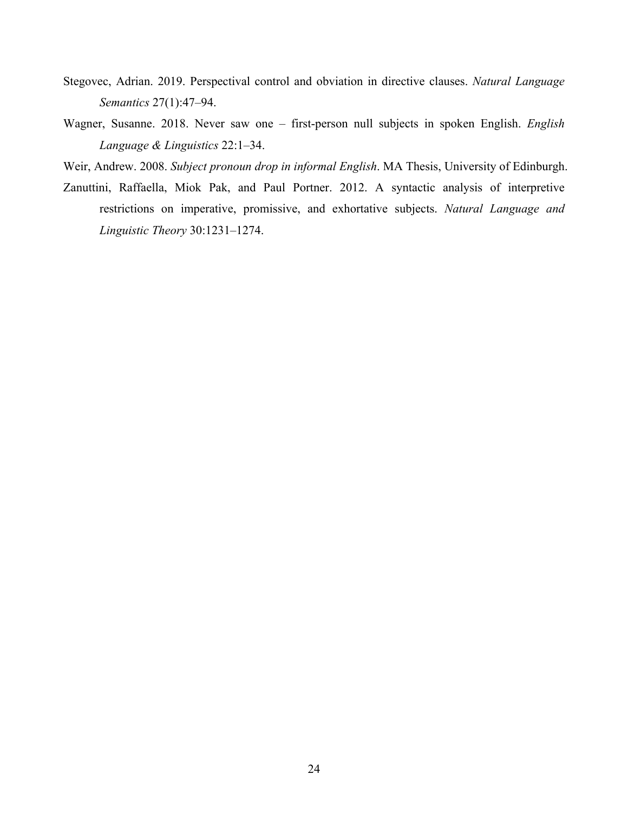- Stegovec, Adrian. 2019. Perspectival control and obviation in directive clauses. *Natural Language Semantics* 27(1):47–94.
- Wagner, Susanne. 2018. Never saw one first-person null subjects in spoken English. *English Language & Linguistics* 22:1–34.
- Weir, Andrew. 2008. *Subject pronoun drop in informal English*. MA Thesis, University of Edinburgh.
- Zanuttini, Raffaella, Miok Pak, and Paul Portner. 2012. A syntactic analysis of interpretive restrictions on imperative, promissive, and exhortative subjects. *Natural Language and Linguistic Theory* 30:1231–1274.